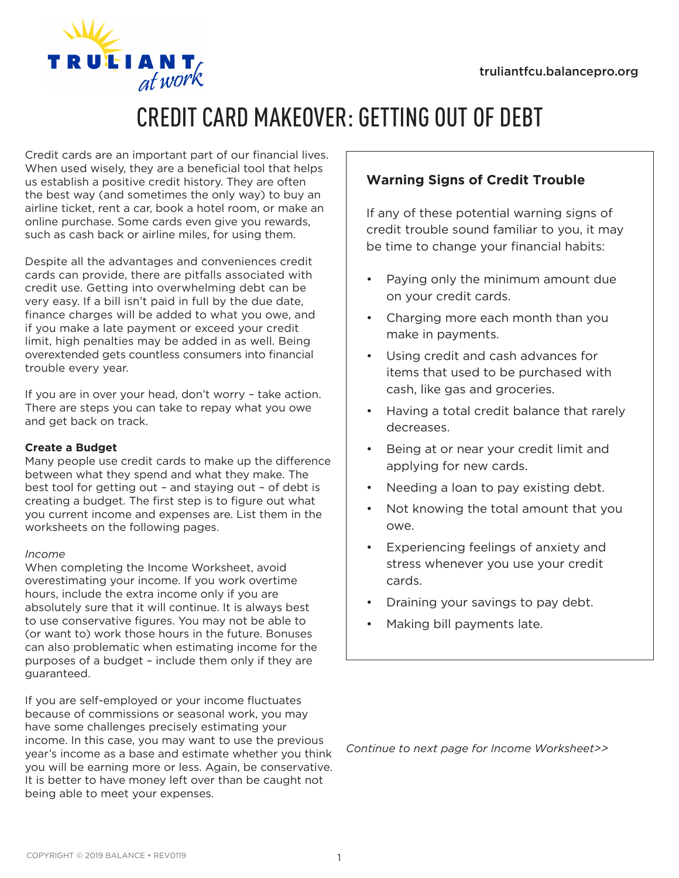

# CREDIT CARD MAKEOVER: GETTING OUT OF DEBT

Credit cards are an important part of our financial lives. When used wisely, they are a beneficial tool that helps us establish a positive credit history. They are often the best way (and sometimes the only way) to buy an airline ticket, rent a car, book a hotel room, or make an online purchase. Some cards even give you rewards, such as cash back or airline miles, for using them.

Despite all the advantages and conveniences credit cards can provide, there are pitfalls associated with credit use. Getting into overwhelming debt can be very easy. If a bill isn't paid in full by the due date, finance charges will be added to what you owe, and if you make a late payment or exceed your credit limit, high penalties may be added in as well. Being overextended gets countless consumers into financial trouble every year.

If you are in over your head, don't worry – take action. There are steps you can take to repay what you owe and get back on track.

## **Create a Budget**

Many people use credit cards to make up the difference between what they spend and what they make. The best tool for getting out – and staying out – of debt is creating a budget. The first step is to figure out what you current income and expenses are. List them in the worksheets on the following pages.

#### *Income*

When completing the Income Worksheet, avoid overestimating your income. If you work overtime hours, include the extra income only if you are absolutely sure that it will continue. It is always best to use conservative figures. You may not be able to (or want to) work those hours in the future. Bonuses can also problematic when estimating income for the purposes of a budget – include them only if they are guaranteed.

If you are self-employed or your income fluctuates because of commissions or seasonal work, you may have some challenges precisely estimating your income. In this case, you may want to use the previous year's income as a base and estimate whether you think you will be earning more or less. Again, be conservative. It is better to have money left over than be caught not being able to meet your expenses.

# **Warning Signs of Credit Trouble**

If any of these potential warning signs of credit trouble sound familiar to you, it may be time to change your financial habits:

- Paying only the minimum amount due on your credit cards.
- Charging more each month than you make in payments.
- Using credit and cash advances for items that used to be purchased with cash, like gas and groceries.
- Having a total credit balance that rarely decreases.
- Being at or near your credit limit and applying for new cards.
- Needing a loan to pay existing debt.
- Not knowing the total amount that you owe.
- Experiencing feelings of anxiety and stress whenever you use your credit cards.
- Draining your savings to pay debt.
- Making bill payments late.

*Continue to next page for Income Worksheet>>*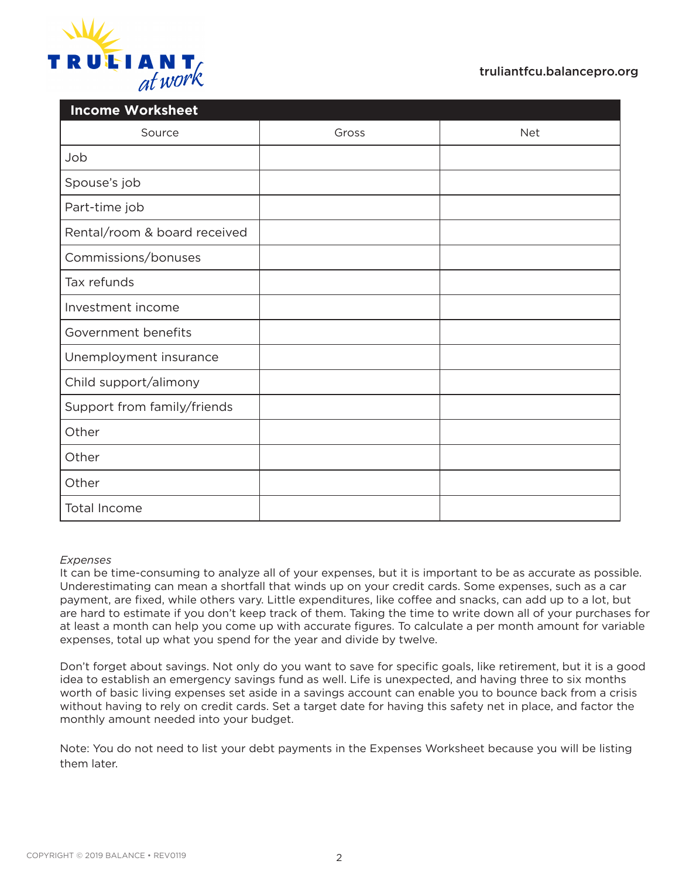

| <b>Income Worksheet</b>      |       |            |  |  |  |
|------------------------------|-------|------------|--|--|--|
| Source                       | Gross | <b>Net</b> |  |  |  |
| Job                          |       |            |  |  |  |
| Spouse's job                 |       |            |  |  |  |
| Part-time job                |       |            |  |  |  |
| Rental/room & board received |       |            |  |  |  |
| Commissions/bonuses          |       |            |  |  |  |
| Tax refunds                  |       |            |  |  |  |
| Investment income            |       |            |  |  |  |
| Government benefits          |       |            |  |  |  |
| Unemployment insurance       |       |            |  |  |  |
| Child support/alimony        |       |            |  |  |  |
| Support from family/friends  |       |            |  |  |  |
| Other                        |       |            |  |  |  |
| Other                        |       |            |  |  |  |
| Other                        |       |            |  |  |  |
| Total Income                 |       |            |  |  |  |

#### *Expenses*

It can be time-consuming to analyze all of your expenses, but it is important to be as accurate as possible. Underestimating can mean a shortfall that winds up on your credit cards. Some expenses, such as a car payment, are fixed, while others vary. Little expenditures, like coffee and snacks, can add up to a lot, but are hard to estimate if you don't keep track of them. Taking the time to write down all of your purchases for at least a month can help you come up with accurate figures. To calculate a per month amount for variable expenses, total up what you spend for the year and divide by twelve.

Don't forget about savings. Not only do you want to save for specific goals, like retirement, but it is a good idea to establish an emergency savings fund as well. Life is unexpected, and having three to six months worth of basic living expenses set aside in a savings account can enable you to bounce back from a crisis without having to rely on credit cards. Set a target date for having this safety net in place, and factor the monthly amount needed into your budget.

Note: You do not need to list your debt payments in the Expenses Worksheet because you will be listing them later.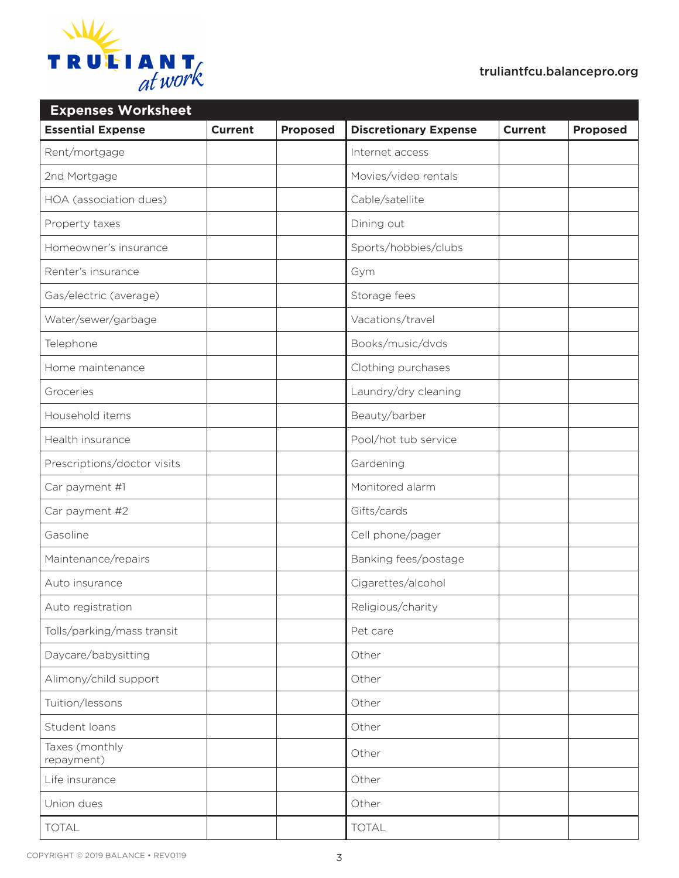

| <b>Expenses Worksheet</b>    |                |                 |                              |                |                 |  |  |
|------------------------------|----------------|-----------------|------------------------------|----------------|-----------------|--|--|
| <b>Essential Expense</b>     | <b>Current</b> | <b>Proposed</b> | <b>Discretionary Expense</b> | <b>Current</b> | <b>Proposed</b> |  |  |
| Rent/mortgage                |                |                 | Internet access              |                |                 |  |  |
| 2nd Mortgage                 |                |                 | Movies/video rentals         |                |                 |  |  |
| HOA (association dues)       |                |                 | Cable/satellite              |                |                 |  |  |
| Property taxes               |                |                 | Dining out                   |                |                 |  |  |
| Homeowner's insurance        |                |                 | Sports/hobbies/clubs         |                |                 |  |  |
| Renter's insurance           |                |                 | Gym                          |                |                 |  |  |
| Gas/electric (average)       |                |                 | Storage fees                 |                |                 |  |  |
| Water/sewer/garbage          |                |                 | Vacations/travel             |                |                 |  |  |
| Telephone                    |                |                 | Books/music/dvds             |                |                 |  |  |
| Home maintenance             |                |                 | Clothing purchases           |                |                 |  |  |
| Groceries                    |                |                 | Laundry/dry cleaning         |                |                 |  |  |
| Household items              |                |                 | Beauty/barber                |                |                 |  |  |
| Health insurance             |                |                 | Pool/hot tub service         |                |                 |  |  |
| Prescriptions/doctor visits  |                |                 | Gardening                    |                |                 |  |  |
| Car payment #1               |                |                 | Monitored alarm              |                |                 |  |  |
| Car payment #2               |                |                 | Gifts/cards                  |                |                 |  |  |
| Gasoline                     |                |                 | Cell phone/pager             |                |                 |  |  |
| Maintenance/repairs          |                |                 | Banking fees/postage         |                |                 |  |  |
| Auto insurance               |                |                 | Cigarettes/alcohol           |                |                 |  |  |
| Auto registration            |                |                 | Religious/charity            |                |                 |  |  |
| Tolls/parking/mass transit   |                |                 | Pet care                     |                |                 |  |  |
| Daycare/babysitting          |                |                 | Other                        |                |                 |  |  |
| Alimony/child support        |                |                 | Other                        |                |                 |  |  |
| Tuition/lessons              |                |                 | Other                        |                |                 |  |  |
| Student loans                |                |                 | Other                        |                |                 |  |  |
| Taxes (monthly<br>repayment) |                |                 | Other                        |                |                 |  |  |
| Life insurance               |                |                 | Other                        |                |                 |  |  |
| Union dues                   |                |                 | Other                        |                |                 |  |  |
| <b>TOTAL</b>                 |                |                 | <b>TOTAL</b>                 |                |                 |  |  |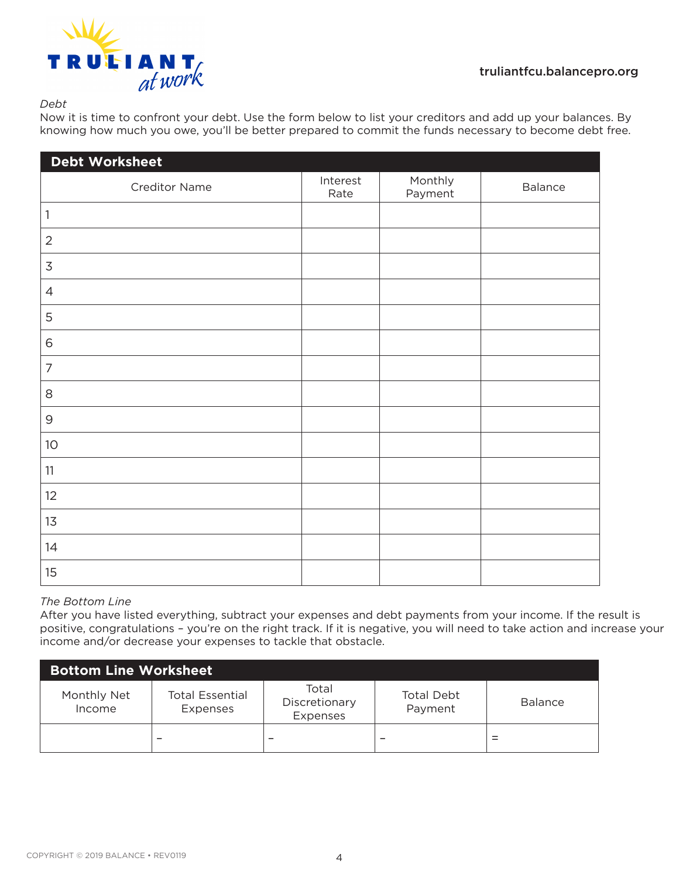

*Debt*

Now it is time to confront your debt. Use the form below to list your creditors and add up your balances. By knowing how much you owe, you'll be better prepared to commit the funds necessary to become debt free.

| Debt Worksheet |                  |                    |         |  |
|----------------|------------------|--------------------|---------|--|
| Creditor Name  | Interest<br>Rate | Monthly<br>Payment | Balance |  |
| $\mathbf{1}$   |                  |                    |         |  |
| $\overline{2}$ |                  |                    |         |  |
| $\mathsf 3$    |                  |                    |         |  |
| $\overline{4}$ |                  |                    |         |  |
| 5              |                  |                    |         |  |
| 6              |                  |                    |         |  |
| 7              |                  |                    |         |  |
| $\,8\,$        |                  |                    |         |  |
| $\mathsf{9}$   |                  |                    |         |  |
| $10$           |                  |                    |         |  |
| 11             |                  |                    |         |  |
| 12             |                  |                    |         |  |
| 13             |                  |                    |         |  |
| 14             |                  |                    |         |  |
| 15             |                  |                    |         |  |

## *The Bottom Line*

After you have listed everything, subtract your expenses and debt payments from your income. If the result is positive, congratulations – you're on the right track. If it is negative, you will need to take action and increase your income and/or decrease your expenses to tackle that obstacle.

| <b>Bottom Line Worksheet</b> |                                    |                                    |                              |                |
|------------------------------|------------------------------------|------------------------------------|------------------------------|----------------|
| Monthly Net<br>Income        | <b>Total Essential</b><br>Expenses | Total<br>Discretionary<br>Expenses | <b>Total Debt</b><br>Payment | <b>Balance</b> |
|                              |                                    |                                    |                              |                |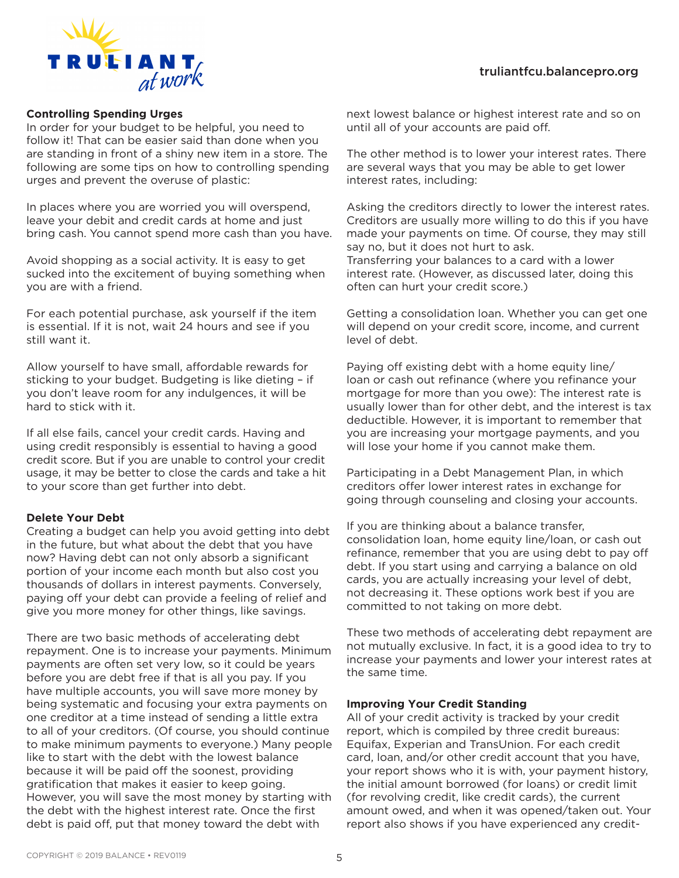

#### **Controlling Spending Urges**

In order for your budget to be helpful, you need to follow it! That can be easier said than done when you are standing in front of a shiny new item in a store. The following are some tips on how to controlling spending urges and prevent the overuse of plastic:

In places where you are worried you will overspend, leave your debit and credit cards at home and just bring cash. You cannot spend more cash than you have.

Avoid shopping as a social activity. It is easy to get sucked into the excitement of buying something when you are with a friend.

For each potential purchase, ask yourself if the item is essential. If it is not, wait 24 hours and see if you still want it.

Allow yourself to have small, affordable rewards for sticking to your budget. Budgeting is like dieting – if you don't leave room for any indulgences, it will be hard to stick with it.

If all else fails, cancel your credit cards. Having and using credit responsibly is essential to having a good credit score. But if you are unable to control your credit usage, it may be better to close the cards and take a hit to your score than get further into debt.

#### **Delete Your Debt**

Creating a budget can help you avoid getting into debt in the future, but what about the debt that you have now? Having debt can not only absorb a significant portion of your income each month but also cost you thousands of dollars in interest payments. Conversely, paying off your debt can provide a feeling of relief and give you more money for other things, like savings.

There are two basic methods of accelerating debt repayment. One is to increase your payments. Minimum payments are often set very low, so it could be years before you are debt free if that is all you pay. If you have multiple accounts, you will save more money by being systematic and focusing your extra payments on one creditor at a time instead of sending a little extra to all of your creditors. (Of course, you should continue to make minimum payments to everyone.) Many people like to start with the debt with the lowest balance because it will be paid off the soonest, providing gratification that makes it easier to keep going. However, you will save the most money by starting with the debt with the highest interest rate. Once the first debt is paid off, put that money toward the debt with

next lowest balance or highest interest rate and so on until all of your accounts are paid off.

The other method is to lower your interest rates. There are several ways that you may be able to get lower interest rates, including:

Asking the creditors directly to lower the interest rates. Creditors are usually more willing to do this if you have made your payments on time. Of course, they may still say no, but it does not hurt to ask.

Transferring your balances to a card with a lower interest rate. (However, as discussed later, doing this often can hurt your credit score.)

Getting a consolidation loan. Whether you can get one will depend on your credit score, income, and current level of debt.

Paying off existing debt with a home equity line/ loan or cash out refinance (where you refinance your mortgage for more than you owe): The interest rate is usually lower than for other debt, and the interest is tax deductible. However, it is important to remember that you are increasing your mortgage payments, and you will lose your home if you cannot make them.

Participating in a Debt Management Plan, in which creditors offer lower interest rates in exchange for going through counseling and closing your accounts.

If you are thinking about a balance transfer, consolidation loan, home equity line/loan, or cash out refinance, remember that you are using debt to pay off debt. If you start using and carrying a balance on old cards, you are actually increasing your level of debt, not decreasing it. These options work best if you are committed to not taking on more debt.

These two methods of accelerating debt repayment are not mutually exclusive. In fact, it is a good idea to try to increase your payments and lower your interest rates at the same time.

#### **Improving Your Credit Standing**

All of your credit activity is tracked by your credit report, which is compiled by three credit bureaus: Equifax, Experian and TransUnion. For each credit card, loan, and/or other credit account that you have, your report shows who it is with, your payment history, the initial amount borrowed (for loans) or credit limit (for revolving credit, like credit cards), the current amount owed, and when it was opened/taken out. Your report also shows if you have experienced any credit-